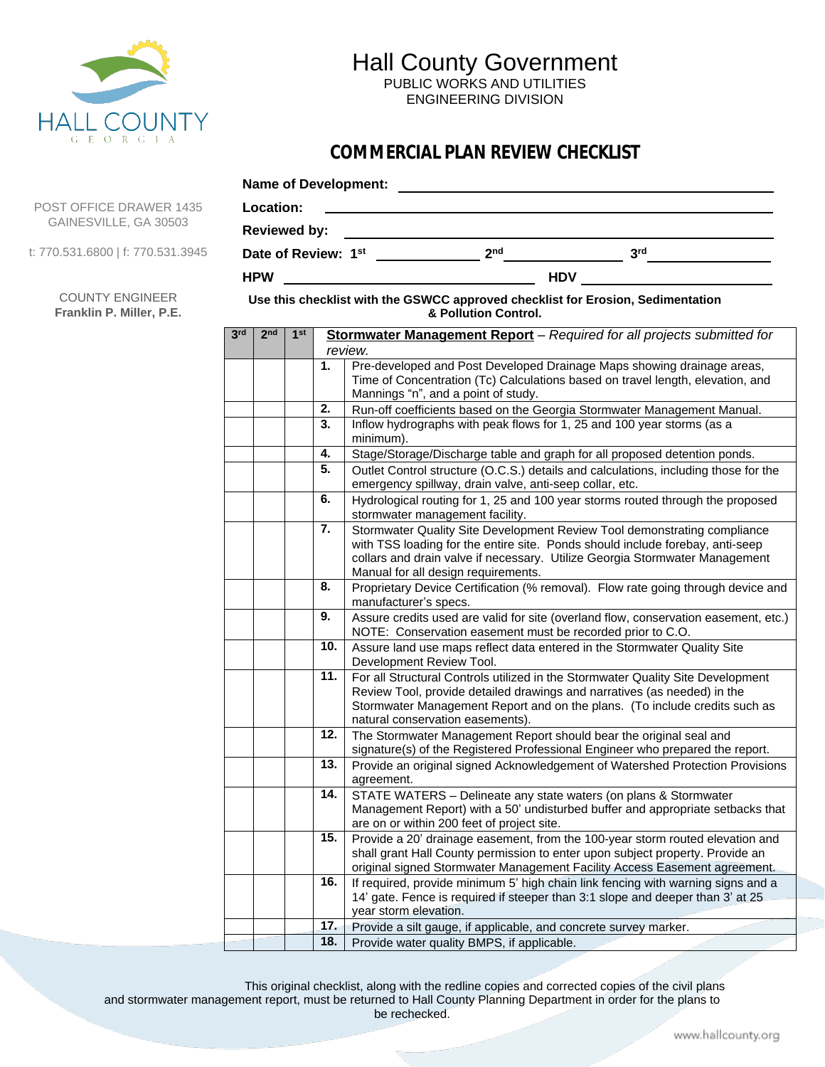

## Hall County Government

PUBLIC WORKS AND UTILITIES ENGINEERING DIVISION

## **COMMERCIAL PLAN REVIEW CHECKLIST**

|     |                     | Location:       |     |            |                                                                                                                       |  |                                                                                                                                                                                                                                             |
|-----|---------------------|-----------------|-----|------------|-----------------------------------------------------------------------------------------------------------------------|--|---------------------------------------------------------------------------------------------------------------------------------------------------------------------------------------------------------------------------------------------|
|     | <b>Reviewed by:</b> |                 |     |            | <u> 1989 - Johann Barn, mars ann an t-Amhain an t-Amhain an t-Amhain an t-Amhain an t-Amhain an t-Amhain an t-Amh</u> |  |                                                                                                                                                                                                                                             |
|     |                     |                 |     |            |                                                                                                                       |  | 3 <sup>rd</sup>                                                                                                                                                                                                                             |
|     | <b>HPW</b>          |                 |     | <b>HDV</b> |                                                                                                                       |  |                                                                                                                                                                                                                                             |
|     |                     |                 |     |            | Use this checklist with the GSWCC approved checklist for Erosion, Sedimentation<br>& Pollution Control.               |  |                                                                                                                                                                                                                                             |
| 3rd | 2 <sub>nd</sub>     | 1 <sup>st</sup> |     | review.    |                                                                                                                       |  | Stormwater Management Report - Required for all projects submitted for                                                                                                                                                                      |
|     |                     |                 | 1.  |            | Mannings "n", and a point of study.                                                                                   |  | Pre-developed and Post Developed Drainage Maps showing drainage areas,<br>Time of Concentration (Tc) Calculations based on travel length, elevation, and                                                                                    |
|     |                     |                 | 2.  |            |                                                                                                                       |  | Run-off coefficients based on the Georgia Stormwater Management Manual.                                                                                                                                                                     |
|     |                     |                 | 3.  | minimum).  |                                                                                                                       |  | Inflow hydrographs with peak flows for 1, 25 and 100 year storms (as a                                                                                                                                                                      |
|     |                     |                 | 4.  |            |                                                                                                                       |  | Stage/Storage/Discharge table and graph for all proposed detention ponds.                                                                                                                                                                   |
|     |                     |                 | 5.  |            | emergency spillway, drain valve, anti-seep collar, etc.                                                               |  | Outlet Control structure (O.C.S.) details and calculations, including those for the                                                                                                                                                         |
|     |                     |                 | 6.  |            | stormwater management facility.                                                                                       |  | Hydrological routing for 1, 25 and 100 year storms routed through the proposed                                                                                                                                                              |
|     |                     |                 | 7.  |            | Manual for all design requirements.                                                                                   |  | Stormwater Quality Site Development Review Tool demonstrating compliance<br>with TSS loading for the entire site. Ponds should include forebay, anti-seep<br>collars and drain valve if necessary. Utilize Georgia Stormwater Management    |
|     |                     |                 | 8.  |            | manufacturer's specs.                                                                                                 |  | Proprietary Device Certification (% removal). Flow rate going through device and                                                                                                                                                            |
|     |                     |                 | 9.  |            | NOTE: Conservation easement must be recorded prior to C.O.                                                            |  | Assure credits used are valid for site (overland flow, conservation easement, etc.)                                                                                                                                                         |
|     |                     |                 | 10. |            | Development Review Tool.                                                                                              |  | Assure land use maps reflect data entered in the Stormwater Quality Site                                                                                                                                                                    |
|     |                     |                 | 11. |            | natural conservation easements).                                                                                      |  | For all Structural Controls utilized in the Stormwater Quality Site Development<br>Review Tool, provide detailed drawings and narratives (as needed) in the<br>Stormwater Management Report and on the plans. (To include credits such as   |
|     |                     |                 | 12. |            | The Stormwater Management Report should bear the original seal and                                                    |  | signature(s) of the Registered Professional Engineer who prepared the report.                                                                                                                                                               |
|     |                     |                 | 13. | agreement. |                                                                                                                       |  | Provide an original signed Acknowledgement of Watershed Protection Provisions                                                                                                                                                               |
|     |                     |                 | 14. |            | are on or within 200 feet of project site.                                                                            |  | STATE WATERS - Delineate any state waters (on plans & Stormwater<br>Management Report) with a 50' undisturbed buffer and appropriate setbacks that                                                                                          |
|     |                     |                 | 15. |            |                                                                                                                       |  | Provide a 20' drainage easement, from the 100-year storm routed elevation and<br>shall grant Hall County permission to enter upon subject property. Provide an<br>original signed Stormwater Management Facility Access Easement agreement. |
|     |                     |                 | 16. |            |                                                                                                                       |  | If required, provide minimum 5' high chain link fencing with warning signs and a<br>14' gate. Fence is required if steeper than 3:1 slope and deeper than 3' at 25                                                                          |
|     |                     |                 |     |            | year storm elevation.                                                                                                 |  |                                                                                                                                                                                                                                             |
|     |                     |                 | 17. |            | Provide a silt gauge, if applicable, and concrete survey marker.                                                      |  |                                                                                                                                                                                                                                             |
|     |                     |                 | 18. |            | Provide water quality BMPS, if applicable.                                                                            |  |                                                                                                                                                                                                                                             |

This original checklist, along with the redline copies and corrected copies of the civil plans and stormwater management report, must be returned to Hall County Planning Department in order for the plans to be rechecked.

POST OFFICE DRAWER GAINESVILLE, GA 3050

t: 770.531.6800 | f: 770.531

COUNTY ENGINEER **Franklin P. Miller, P.E.**